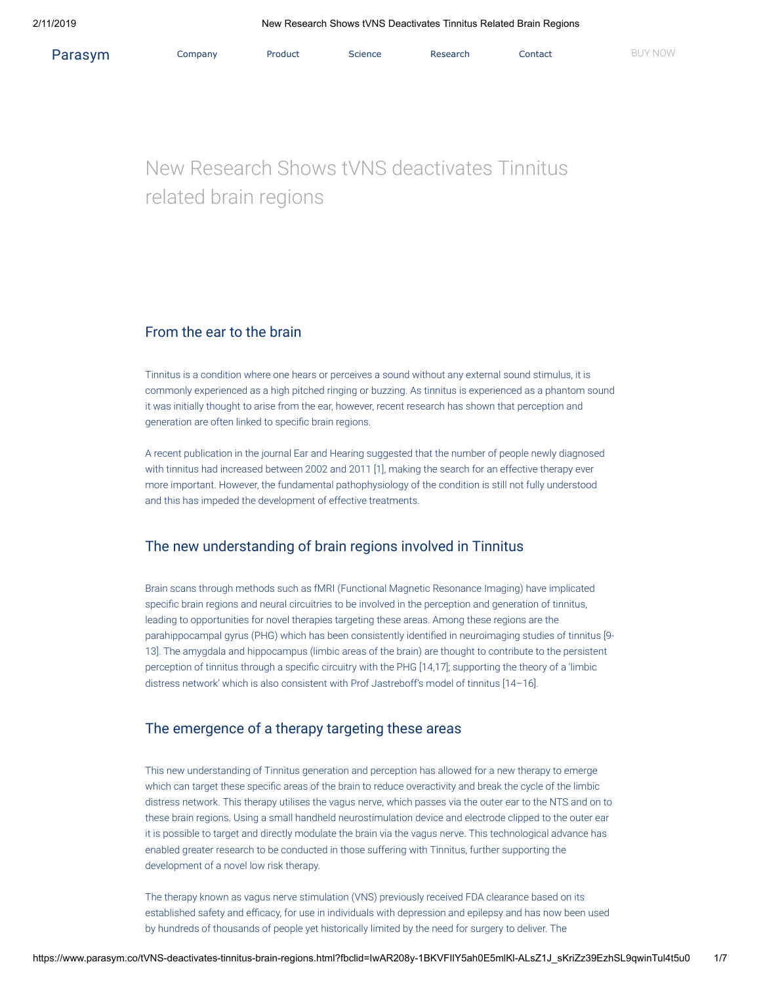# New Research Shows tVNS deactivates Tinnitus related brain regions

### From the ear to the brain

Tinnitus is a condition where one hears or perceives a sound without any external sound stimulus, it is commonly experienced as a high pitched ringing or buzzing. As tinnitus is experienced as a phantom sound it was initially thought to arise from the ear, however, recent research has shown that perception and generation are often linked to specific brain regions.

A recent publication in the journal Ear and Hearing suggested that the number of people newly diagnosed with tinnitus had increased between 2002 and 2011 [1], making the search for an effective therapy ever more important. However, the fundamental pathophysiology of the condition is still not fully understood and this has impeded the development of effective treatments.

# The new understanding of brain regions involved in Tinnitus

Brain scans through methods such as fMRI (Functional Magnetic Resonance Imaging) have implicated specific brain regions and neural circuitries to be involved in the perception and generation of tinnitus, leading to opportunities for novel therapies targeting these areas. Among these regions are the parahippocampal gyrus (PHG) which has been consistently identified in neuroimaging studies of tinnitus [9-13]. The amygdala and hippocampus (limbic areas of the brain) are thought to contribute to the persistent perception of tinnitus through a specific circuitry with the PHG [14,17]; supporting the theory of a 'limbic distress network' which is also consistent with Prof Jastreboff's model of tinnitus [14–16].

## The emergence of a therapy targeting these areas

This new understanding of Tinnitus generation and perception has allowed for a new therapy to emerge which can target these specific areas of the brain to reduce overactivity and break the cycle of the limbic distress network. This therapy utilises the vagus nerve, which passes via the outer ear to the NTS and on to these brain regions. Using a small handheld neurostimulation device and electrode clipped to the outer ear it is possible to target and directly modulate the brain via the vagus nerve. This technological advance has enabled greater research to be conducted in those suffering with Tinnitus, further supporting the development of a novel low risk therapy.

The therapy known as vagus nerve stimulation (VNS) previously received FDA clearance based on its established safety and efficacy, for use in individuals with depression and epilepsy and has now been used by hundreds of thousands of people yet historically limited by the need for surgery to deliver. The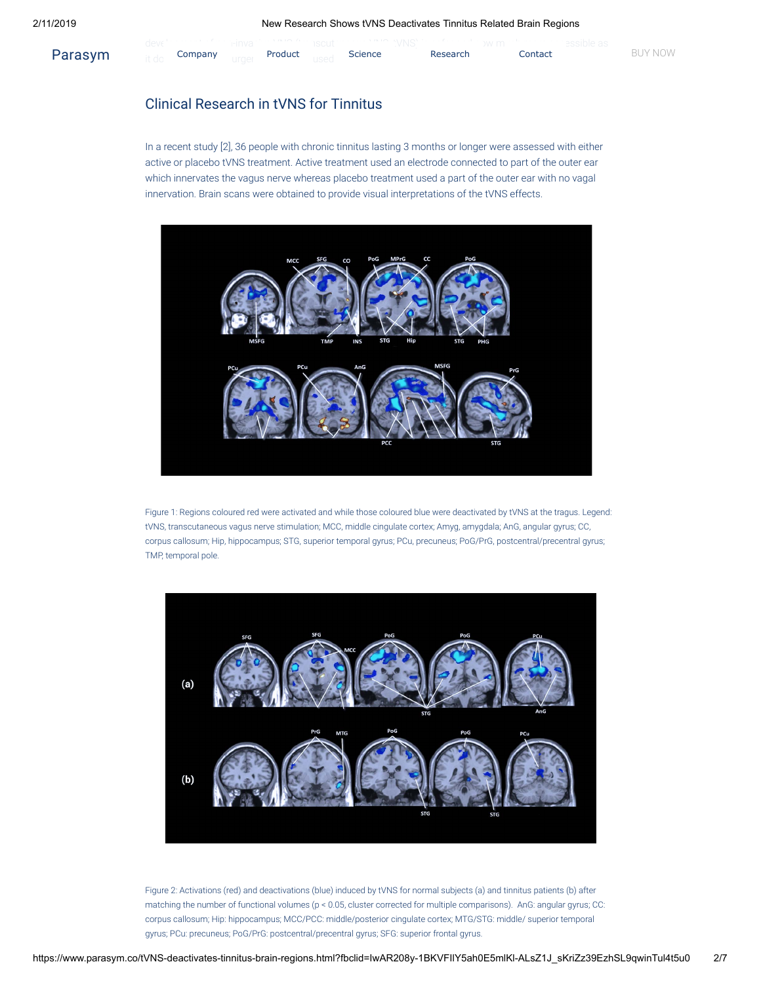|         | uu v |         | 1/21/2  | <b>Service Control</b> | 1 / 1 / 1 / 1 / 1 / 1 / 1 / 1 / 1 / 1 |          | <b><i>JVV</i></b> 11 |         | <u>JUURIU UU</u> |         |
|---------|------|---------|---------|------------------------|---------------------------------------|----------|----------------------|---------|------------------|---------|
| Parasym |      | Company | Product |                        | <b>Science</b>                        | Research |                      | Contact |                  | BUY NOW |

# Clinical Research in tVNS for Tinnitus

In a recent study [2], 36 people with chronic tinnitus lasting 3 months or longer were assessed with either active or placebo tVNS treatment. Active treatment used an electrode connected to part of the outer ear which innervates the vagus nerve whereas placebo treatment used a part of the outer ear with no vagal innervation. Brain scans were obtained to provide visual interpretations of the tVNS effects.



Figure 1: Regions coloured red were activated and while those coloured blue were deactivated by tVNS at the tragus. Legend: tVNS, transcutaneous vagus nerve stimulation; MCC, middle cingulate cortex; Amyg, amygdala; AnG, angular gyrus; CC, corpus callosum; Hip, hippocampus; STG, superior temporal gyrus; PCu, precuneus; PoG/PrG, postcentral/precentral gyrus; TMP, temporal pole.



Figure 2: Activations (red) and deactivations (blue) induced by tVNS for normal subjects (a) and tinnitus patients (b) after matching the number of functional volumes (p < 0.05, cluster corrected for multiple comparisons). AnG: angular gyrus; CC: corpus callosum; Hip: hippocampus; MCC/PCC: middle/posterior cingulate cortex; MTG/STG: middle/ superior temporal gyrus; PCu: precuneus; PoG/PrG: postcentral/precentral gyrus; SFG: superior frontal gyrus.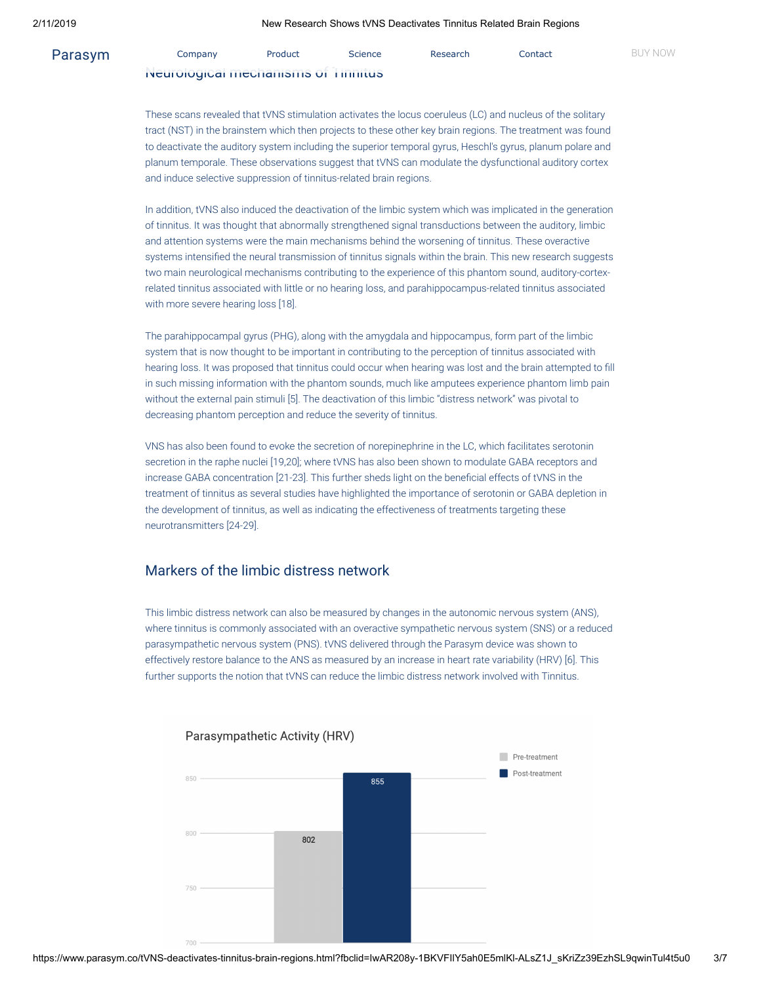| Parasym | Company                            | Product | Science | Research | Contact | BUY NOW |
|---------|------------------------------------|---------|---------|----------|---------|---------|
|         | iveurological mechanisms of Timmus |         |         |          |         |         |

These scans revealed that tVNS stimulation activates the locus coeruleus (LC) and nucleus of the solitary tract (NST) in the brainstem which then projects to these other key brain regions. The treatment was found to deactivate the auditory system including the superior temporal gyrus, Heschl's gyrus, planum polare and planum temporale. These observations suggest that tVNS can modulate the dysfunctional auditory cortex and induce selective suppression of tinnitus-related brain regions.

In addition, tVNS also induced the deactivation of the limbic system which was implicated in the generation of tinnitus. It was thought that abnormally strengthened signal transductions between the auditory, limbic and attention systems were the main mechanisms behind the worsening of tinnitus. These overactive systems intensified the neural transmission of tinnitus signals within the brain. This new research suggests two main neurological mechanisms contributing to the experience of this phantom sound, auditory-cortexrelated tinnitus associated with little or no hearing loss, and parahippocampus-related tinnitus associated with more severe hearing loss [18].

The parahippocampal gyrus (PHG), along with the amygdala and hippocampus, form part of the limbic system that is now thought to be important in contributing to the perception of tinnitus associated with hearing loss. It was proposed that tinnitus could occur when hearing was lost and the brain attempted to fill in such missing information with the phantom sounds, much like amputees experience phantom limb pain without the external pain stimuli [5]. The deactivation of this limbic "distress network" was pivotal to decreasing phantom perception and reduce the severity of tinnitus.

VNS has also been found to evoke the secretion of norepinephrine in the LC, which facilitates serotonin secretion in the raphe nuclei [19,20]; where tVNS has also been shown to modulate GABA receptors and increase GABA concentration [21-23]. This further sheds light on the beneficial effects of tVNS in the treatment of tinnitus as several studies have highlighted the importance of serotonin or GABA depletion in the development of tinnitus, as well as indicating the effectiveness of treatments targeting these neurotransmitters [24-29].

## Markers of the limbic distress network

This limbic distress network can also be measured by changes in the autonomic nervous system (ANS), where tinnitus is commonly associated with an overactive sympathetic nervous system (SNS) or a reduced parasympathetic nervous system (PNS). tVNS delivered through the Parasym device was shown to effectively restore balance to the ANS as measured by an increase in heart rate variability (HRV) [6]. This further supports the notion that tVNS can reduce the limbic distress network involved with Tinnitus.



### Parasympathetic Activity (HRV)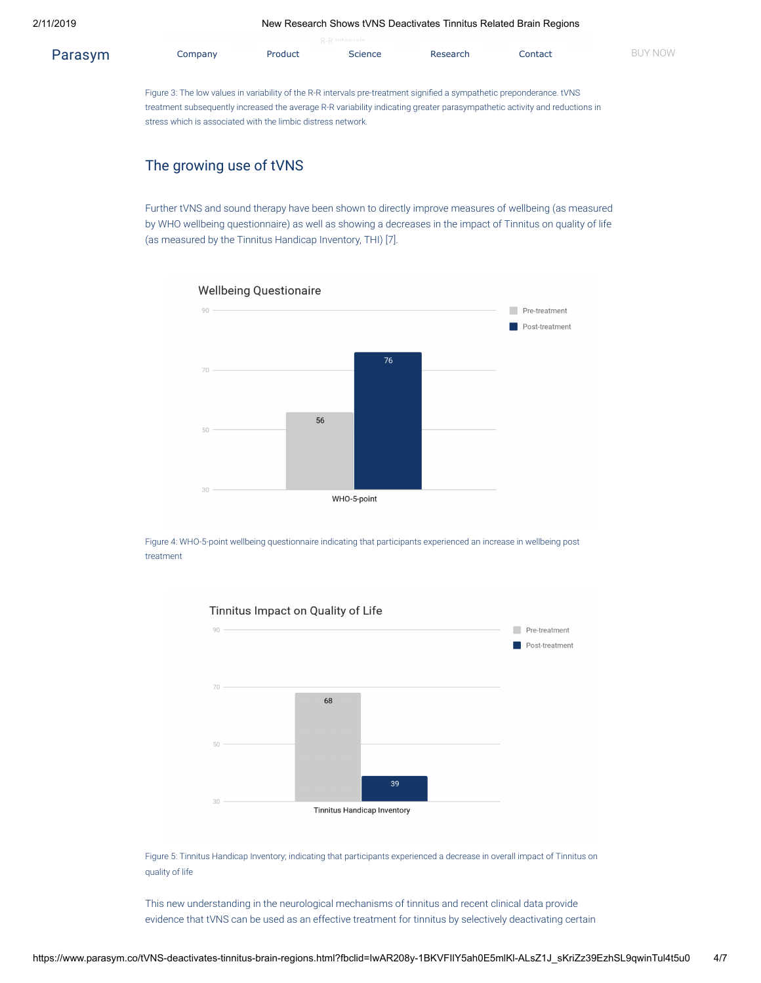|         |                                                                                                                                                                                                                                                      |         | R-R Intervale  |          |         |                |  |  |  |  |  |  |
|---------|------------------------------------------------------------------------------------------------------------------------------------------------------------------------------------------------------------------------------------------------------|---------|----------------|----------|---------|----------------|--|--|--|--|--|--|
| Parasym | Company                                                                                                                                                                                                                                              | Product | <b>Science</b> | Research | Contact | <b>BUY NOW</b> |  |  |  |  |  |  |
|         |                                                                                                                                                                                                                                                      |         |                |          |         |                |  |  |  |  |  |  |
|         |                                                                                                                                                                                                                                                      |         |                |          |         |                |  |  |  |  |  |  |
|         | Figure 3: The low values in variability of the R-R intervals pre-treatment signified a sympathetic preponderance. tVNS<br>treatment subsequently increased the average R-R variability indicating greater parasympathetic activity and reductions in |         |                |          |         |                |  |  |  |  |  |  |
|         |                                                                                                                                                                                                                                                      |         |                |          |         |                |  |  |  |  |  |  |
|         | stress which is associated with the limbic distress network.                                                                                                                                                                                         |         |                |          |         |                |  |  |  |  |  |  |

# The growing use of tVNS

Further tVNS and sound therapy have been shown to directly improve measures of wellbeing (as measured by WHO wellbeing questionnaire) as well as showing a decreases in the impact of Tinnitus on quality of life (as measured by the Tinnitus Handicap Inventory, THI) [7].



Figure 4: WHO-5-point wellbeing questionnaire indicating that participants experienced an increase in wellbeing post treatment



### Tinnitus Impact on Quality of Life

Figure 5: Tinnitus Handicap Inventory; indicating that participants experienced a decrease in overall impact of Tinnitus on quality of life

This new understanding in the neurological mechanisms of tinnitus and recent clinical data provide evidence that tVNS can be used as an effective treatment for tinnitus by selectively deactivating certain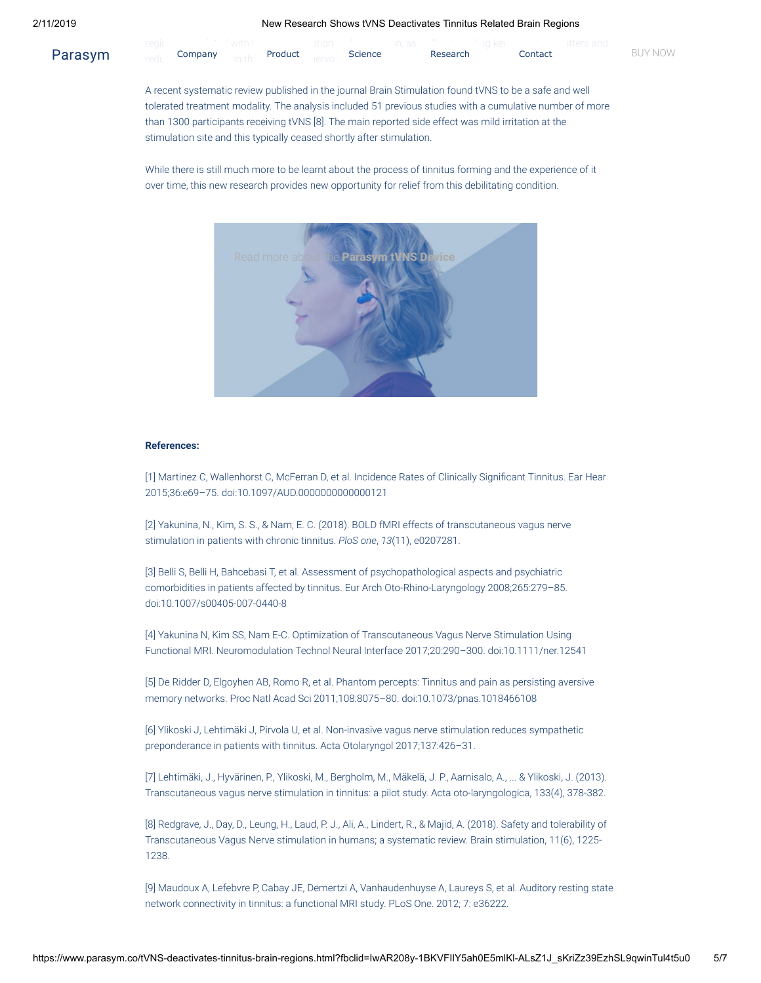### 2/11/2019 New Research Shows tVNS Deactivates Tinnitus Related Brain Regions

| Parasym | Company | Product | Science | Research | Contact | BUY NOW |
|---------|---------|---------|---------|----------|---------|---------|

A recent systematic review published in the journal Brain Stimulation found tVNS to be a safe and well tolerated treatment modality. The analysis included 51 previous studies with a cumulative number of more than 1300 participants receiving tVNS [8]. The main reported side effect was mild irritation at the stimulation site and this typically ceased shortly after stimulation.

While there is still much more to be learnt about the process of tinnitus forming and the experience of it over time, this new research provides new opportunity for relief from this debilitating condition.



#### **References:**

[1] Martinez C, Wallenhorst C, McFerran D, et al. Incidence Rates of Clinically Significant Tinnitus. Ear Hear 2015;36:e69–75. doi:10.1097/AUD.0000000000000121

[2] Yakunina, N., Kim, S. S., & Nam, E. C. (2018). BOLD fMRI effects of transcutaneous vagus nerve stimulation in patients with chronic tinnitus. *PloS one*, *13*(11), e0207281.

[3] Belli S, Belli H, Bahcebasi T, et al. Assessment of psychopathological aspects and psychiatric comorbidities in patients affected by tinnitus. Eur Arch Oto-Rhino-Laryngology 2008;265:279–85. doi:10.1007/s00405-007-0440-8

[4] Yakunina N, Kim SS, Nam E-C. Optimization of Transcutaneous Vagus Nerve Stimulation Using Functional MRI. Neuromodulation Technol Neural Interface 2017;20:290–300. doi:10.1111/ner.12541

[5] De Ridder D, Elgoyhen AB, Romo R, et al. Phantom percepts: Tinnitus and pain as persisting aversive memory networks. Proc Natl Acad Sci 2011;108:8075–80. doi:10.1073/pnas.1018466108

[6] Ylikoski J, Lehtimäki J, Pirvola U, et al. Non-invasive vagus nerve stimulation reduces sympathetic preponderance in patients with tinnitus. Acta Otolaryngol 2017;137:426–31.

[7] Lehtimäki, J., Hyvärinen, P., Ylikoski, M., Bergholm, M., Mäkelä, J. P., Aarnisalo, A., ... & Ylikoski, J. (2013). Transcutaneous vagus nerve stimulation in tinnitus: a pilot study. Acta oto-laryngologica, 133(4), 378-382.

[8] Redgrave, J., Day, D., Leung, H., Laud, P. J., Ali, A., Lindert, R., & Majid, A. (2018). Safety and tolerability of Transcutaneous Vagus Nerve stimulation in humans; a systematic review. Brain stimulation, 11(6), 1225- 1238.

[9] Maudoux A, Lefebvre P, Cabay JE, Demertzi A, Vanhaudenhuyse A, Laureys S, et al. Auditory resting state network connectivity in tinnitus: a functional MRI study. PLoS One. 2012; 7: e36222.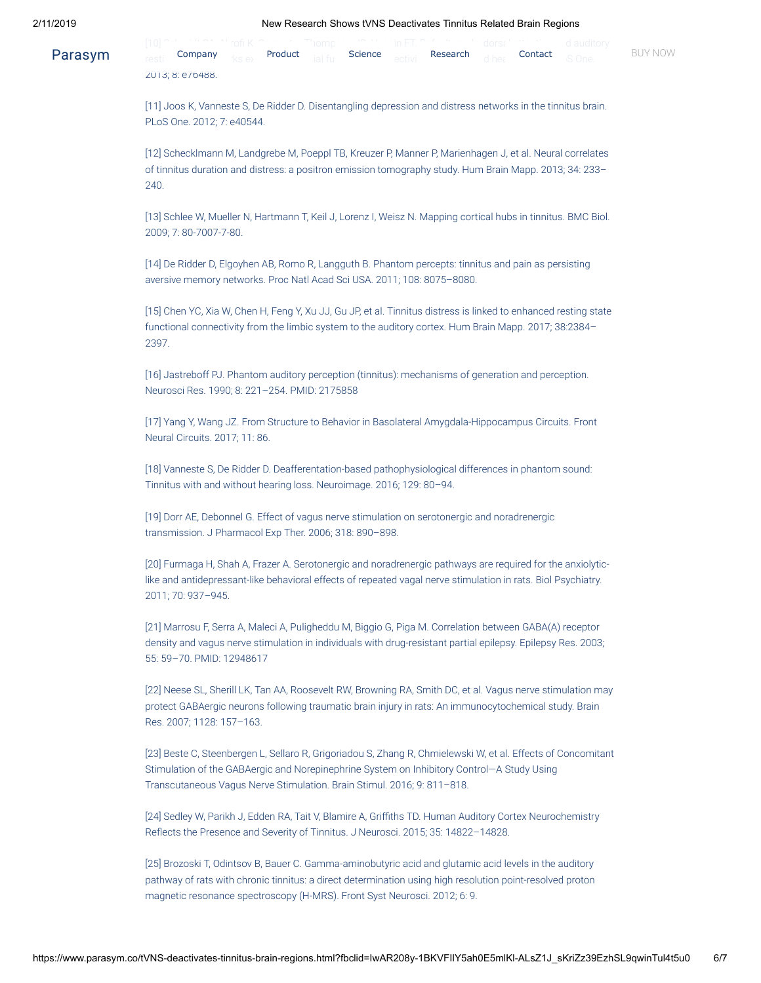### 2/11/2019 New Research Shows tVNS Deactivates Tinnitus Related Brain Regions

|         |  |  |  |  | uoi sa |                                                                                                           |         |
|---------|--|--|--|--|--------|-----------------------------------------------------------------------------------------------------------|---------|
| Parasym |  |  |  |  |        | resti Company <sub>iks e</sub> <b>Product</b> jalifu Science <sub>ectivi</sub> Research dhes Contact some | BUY NOW |
|         |  |  |  |  |        |                                                                                                           |         |

2013; 8: e76488.

[11] Joos K, Vanneste S, De Ridder D. Disentangling depression and distress networks in the tinnitus brain. PLoS One. 2012; 7: e40544.

[12] Schecklmann M, Landgrebe M, Poeppl TB, Kreuzer P, Manner P, Marienhagen J, et al. Neural correlates of tinnitus duration and distress: a positron emission tomography study. Hum Brain Mapp. 2013; 34: 233– 240.

[13] Schlee W, Mueller N, Hartmann T, Keil J, Lorenz I, Weisz N. Mapping cortical hubs in tinnitus. BMC Biol. 2009; 7: 80-7007-7-80.

[14] De Ridder D, Elgoyhen AB, Romo R, Langguth B. Phantom percepts: tinnitus and pain as persisting aversive memory networks. Proc Natl Acad Sci USA. 2011; 108: 8075–8080.

[15] Chen YC, Xia W, Chen H, Feng Y, Xu JJ, Gu JP, et al. Tinnitus distress is linked to enhanced resting state functional connectivity from the limbic system to the auditory cortex. Hum Brain Mapp. 2017; 38:2384– 2397.

[16] Jastreboff PJ. Phantom auditory perception (tinnitus): mechanisms of generation and perception. Neurosci Res. 1990; 8: 221–254. PMID: 2175858

[17] Yang Y, Wang JZ. From Structure to Behavior in Basolateral Amygdala-Hippocampus Circuits. Front Neural Circuits. 2017; 11: 86.

[18] Vanneste S, De Ridder D. Deafferentation-based pathophysiological differences in phantom sound: Tinnitus with and without hearing loss. Neuroimage. 2016; 129: 80–94.

[19] Dorr AE, Debonnel G. Effect of vagus nerve stimulation on serotonergic and noradrenergic transmission. J Pharmacol Exp Ther. 2006; 318: 890–898.

[20] Furmaga H, Shah A, Frazer A. Serotonergic and noradrenergic pathways are required for the anxiolyticlike and antidepressant-like behavioral effects of repeated vagal nerve stimulation in rats. Biol Psychiatry. 2011; 70: 937–945.

[21] Marrosu F, Serra A, Maleci A, Puligheddu M, Biggio G, Piga M. Correlation between GABA(A) receptor density and vagus nerve stimulation in individuals with drug-resistant partial epilepsy. Epilepsy Res. 2003; 55: 59–70. PMID: 12948617

[22] Neese SL, Sherill LK, Tan AA, Roosevelt RW, Browning RA, Smith DC, et al. Vagus nerve stimulation may protect GABAergic neurons following traumatic brain injury in rats: An immunocytochemical study. Brain Res. 2007; 1128: 157–163.

[23] Beste C, Steenbergen L, Sellaro R, Grigoriadou S, Zhang R, Chmielewski W, et al. Effects of Concomitant Stimulation of the GABAergic and Norepinephrine System on Inhibitory Control—A Study Using Transcutaneous Vagus Nerve Stimulation. Brain Stimul. 2016; 9: 811–818.

[24] Sedley W, Parikh J, Edden RA, Tait V, Blamire A, Griths TD. Human Auditory Cortex Neurochemistry Reflects the Presence and Severity of Tinnitus. J Neurosci. 2015; 35: 14822-14828.

[25] Brozoski T, Odintsov B, Bauer C. Gamma-aminobutyric acid and glutamic acid levels in the auditory pathway of rats with chronic tinnitus: a direct determination using high resolution point-resolved proton magnetic resonance spectroscopy (H-MRS). Front Syst Neurosci. 2012; 6: 9.